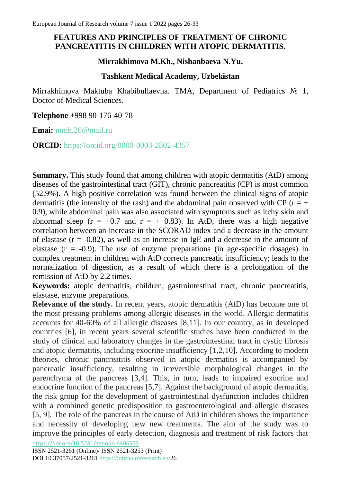## **FEATURES AND PRINCIPLES OF TREATMENT OF CHRONIC PANCREATITIS IN CHILDREN WITH ATOPIC DERMATITIS.**

#### **Mirrakhimova M.Kh., Nishanbaeva N.Yu.**

### **Tashkent Medical Academy, Uzbekistan**

Mirrakhimova Maktuba Khabibullaevna. TMA, Department of Pediatrics № 1, Doctor of Medical Sciences.

**Telephone** +998 90-176-40-78

**Emai:** [mmh.20@mail.ru](mailto:mmh.20@mail.ru)

**ORCID:** <https://orcid.org/0000-0003-2802-4357>

**Summary.** This study found that among children with atopic dermatitis (AtD) among diseases of the gastrointestinal tract (GIT), chronic pancreatitis (CP) is most common (52.9%). A high positive correlation was found between the clinical signs of atopic dermatitis (the intensity of the rash) and the abdominal pain observed with CP ( $r = +$ 0.9), while abdominal pain was also associated with symptoms such as itchy skin and abnormal sleep  $(r = +0.7$  and  $r = +0.83$ ). In AtD, there was a high negative correlation between an increase in the SCORAD index and a decrease in the amount of elastase  $(r = -0.82)$ , as well as an increase in IgE and a decrease in the amount of elastase  $(r = -0.9)$ . The use of enzyme preparations (in age-specific dosages) in complex treatment in children with AtD corrects pancreatic insufficiency; leads to the normalization of digestion, as a result of which there is a prolongation of the remission of AtD by 2.2 times.

**Keywords:** atopic dermatitis, children, gastrointestinal tract, chronic pancreatitis, elastase, enzyme preparations.

**Relevance of the study.** In recent years, atopic dermatitis (AtD) has become one of the most pressing problems among allergic diseases in the world. Allergic dermatitis accounts for 40-60% of all allergic diseases [8,11]. In our country, as in developed countries [6], in recent years several scientific studies have been conducted in the study of clinical and laboratory changes in the gastrointestinal tract in cystic fibrosis and atopic dermatitis, including exocrine insufficiency [1,2,10]. According to modern theories, chronic pancreatitis observed in atopic dermatitis is accompanied by pancreatic insufficiency, resulting in irreversible morphological changes in the parenchyma of the pancreas [3,4]. This, in turn, leads to impaired exocrine and endocrine function of the pancreas [5,7]. Against the background of atopic dermatitis, the risk group for the development of gastrointestinal dysfunction includes children with a combined genetic predisposition to gastroenterological and allergic diseases [5, 9]. The role of the pancreas in the course of AtD in children shows the importance and necessity of developing new new treatments. The aim of the study was to improve the principles of early detection, diagnosis and treatment of risk factors that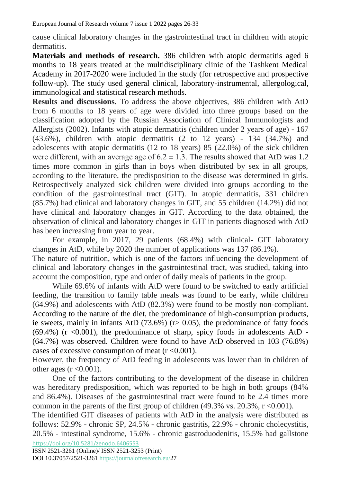European Journal of Research volume 7 issue 1 2022 pages 26-33

cause clinical laboratory changes in the gastrointestinal tract in children with atopic dermatitis.

**Materials and methods of research.** 386 children with atopic dermatitis aged 6 months to 18 years treated at the multidisciplinary clinic of the Tashkent Medical Academy in 2017-2020 were included in the study (for retrospective and prospective follow-up). The study used general clinical, laboratory-instrumental, allergological, immunological and statistical research methods.

**Results and discussions.** To address the above objectives, 386 children with AtD from 6 months to 18 years of age were divided into three groups based on the classification adopted by the Russian Association of Clinical Immunologists and Allergists (2002). Infants with atopic dermatitis (children under 2 years of age) - 167  $(43.6\%)$ , children with atopic dermatitis  $(2 \text{ to } 12 \text{ years})$  - 134  $(34.7\%)$  and adolescents with atopic dermatitis (12 to 18 years) 85 (22.0%) of the sick children were different, with an average age of  $6.2 \pm 1.3$ . The results showed that AtD was 1.2 times more common in girls than in boys when distributed by sex in all groups, according to the literature, the predisposition to the disease was determined in girls. Retrospectively analyzed sick children were divided into groups according to the condition of the gastrointestinal tract (GIT). In atopic dermatitis, 331 children (85.7%) had clinical and laboratory changes in GIT, and 55 children (14.2%) did not have clinical and laboratory changes in GIT. According to the data obtained, the observation of clinical and laboratory changes in GIT in patients diagnosed with AtD has been increasing from year to year.

 For example, in 2017, 29 patients (68.4%) with clinical- GIT laboratory changes in AtD, while by 2020 the number of applications was 137 (86.1%). The nature of nutrition, which is one of the factors influencing the development of clinical and laboratory changes in the gastrointestinal tract, was studied, taking into account the composition, type and order of daily meals of patients in the group.

While 69.6% of infants with AtD were found to be switched to early artificial feeding, the transition to family table meals was found to be early, while children (64.9%) and adolescents with AtD (82.3%) were found to be mostly non-compliant. According to the nature of the diet, the predominance of high-consumption products, ie sweets, mainly in infants AtD (73.6%) (r> 0.05), the predominance of fatty foods  $(69.4\%)$  (r  $\lt 0.001$ ), the predominance of sharp, spicy foods in adolescents AtD -(64.7%) was observed. Children were found to have AtD observed in 103 (76.8%) cases of excessive consumption of meat  $(r < 0.001)$ .

However, the frequency of AtD feeding in adolescents was lower than in children of other ages  $(r < 0.001)$ .

 One of the factors contributing to the development of the disease in children was hereditary predisposition, which was reported to be high in both groups (84% and 86.4%). Diseases of the gastrointestinal tract were found to be 2.4 times more common in the parents of the first group of children  $(49.3\% \text{ vs. } 20.3\%, \text{ r} < 0.001)$ .

<https://doi.org/10.5281/zenodo.6406553> The identified GIT diseases of patients with AtD in the analysis were distributed as follows: 52.9% - chronic SP, 24.5% - chronic gastritis, 22.9% - chronic cholecystitis, 20.5% - intestinal syndrome, 15.6% - chronic gastroduodenitis, 15.5% had gallstone

ISSN 2521-3261 (Online)/ ISSN 2521-3253 (Print) DOI 10.37057/2521-3261 [https://journalofresearch.eu/2](https://journalofresearch.eu/)7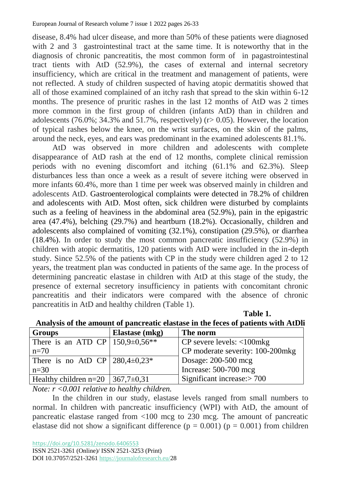disease, 8.4% had ulcer disease, and more than 50% of these patients were diagnosed with 2 and 3 gastrointestinal tract at the same time. It is noteworthy that in the diagnosis of chronic pancreatitis, the most common form of in pagastrointestinal tract tients with AtD (52.9%), the cases of external and internal secretory insufficiency, which are critical in the treatment and management of patients, were not reflected. A study of children suspected of having atopic dermatitis showed that all of those examined complained of an itchy rash that spread to the skin within 6-12 months. The presence of pruritic rashes in the last 12 months of AtD was 2 times more common in the first group of children (infants AtD) than in children and adolescents (76.0%; 34.3% and 51.7%, respectively) ( $r > 0.05$ ). However, the location of typical rashes below the knee, on the wrist surfaces, on the skin of the palms, around the neck, eyes, and ears was predominant in the examined adolescents 81.1%.

 AtD was observed in more children and adolescents with complete disappearance of AtD rash at the end of 12 months, complete clinical remission periods with no evening discomfort and itching (61.1% and 62.3%). Sleep disturbances less than once a week as a result of severe itching were observed in more infants 60.4%, more than 1 time per week was observed mainly in children and adolescents AtD. Gastroenterological complaints were detected in 78.2% of children and adolescents with AtD. Most often, sick children were disturbed by complaints such as a feeling of heaviness in the abdominal area (52.9%), pain in the epigastric area (47.4%), belching (29.7%) and heartburn (18.2%). Occasionally, children and adolescents also complained of vomiting (32.1%), constipation (29.5%), or diarrhea (18.4%). In order to study the most common pancreatic insufficiency (52.9%) in children with atopic dermatitis, 120 patients with AtD were included in the in-depth study. Since 52.5% of the patients with CP in the study were children aged 2 to 12 years, the treatment plan was conducted in patients of the same age. In the process of determining pancreatic elastase in children with AtD at this stage of the study, the presence of external secretory insufficiency in patients with concomitant chronic pancreatitis and their indicators were compared with the absence of chronic pancreatitis in AtD and healthy children (Table 1).

| <b>Groups</b>                            | <b>Elastase</b> (mkg) | The norm                                             |  |  |  |
|------------------------------------------|-----------------------|------------------------------------------------------|--|--|--|
| There is an ATD CP   $150,9\pm0.56**$    |                       | $CP$ severe levels: $\langle 100 \text{mkg} \rangle$ |  |  |  |
| $n=70$                                   |                       | CP moderate severity: 100-200mkg                     |  |  |  |
| There is no AtD CP $ 280,4\pm0,23^* $    |                       | Dosage: 200-500 mcg                                  |  |  |  |
| $n=30$                                   |                       | Increase: 500-700 mcg                                |  |  |  |
| Healthy children n=20   367,7 $\pm$ 0,31 |                       | Significant increase: $> 700$                        |  |  |  |

*Table 1.* The set of  $\mathbb{R}$  is the set of  $\mathbb{R}$  is the set of  $\mathbb{R}$  is the set of  $\mathbb{R}$  is the set of  $\mathbb{R}$  is the set of  $\mathbb{R}$  is the set of  $\mathbb{R}$  is the set of  $\mathbb{R}$  is the set of  $\mathbb{R}$  is th **Analysis of the amount of pancreatic elastase in the feces of patients with AtDli**

*Note: r <0.001 relative to healthy children.*

In the children in our study, elastase levels ranged from small numbers to normal. In children with pancreatic insufficiency (WPI) with AtD, the amount of pancreatic elastase ranged from <100 mcg to 230 mcg. The amount of pancreatic elastase did not show a significant difference ( $p = 0.001$ ) ( $p = 0.001$ ) from children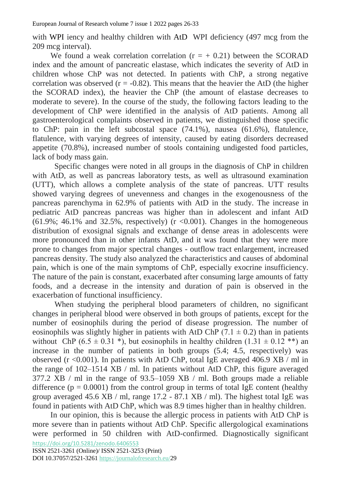with WPI iency and healthy children with AtD WPI deficiency (497 mcg from the 209 mcg interval).

We found a weak correlation correlation  $(r = + 0.21)$  between the SCORAD index and the amount of pancreatic elastase, which indicates the severity of AtD in children whose ChP was not detected. In patients with ChP, a strong negative correlation was observed  $(r = -0.82)$ . This means that the heavier the AtD (the higher the SCORAD index), the heavier the ChP (the amount of elastase decreases to moderate to severe). In the course of the study, the following factors leading to the development of ChP were identified in the analysis of AtD patients. Among all gastroenterological complaints observed in patients, we distinguished those specific to ChP: pain in the left subcostal space (74.1%), nausea (61.6%), flatulence, flatulence, with varying degrees of intensity, caused by eating disorders decreased appetite (70.8%), increased number of stools containing undigested food particles, lack of body mass gain.

 Specific changes were noted in all groups in the diagnosis of ChP in children with AtD, as well as pancreas laboratory tests, as well as ultrasound examination (UTT), which allows a complete analysis of the state of pancreas. UTT results showed varying degrees of unevenness and changes in the exogenousness of the pancreas parenchyma in 62.9% of patients with AtD in the study. The increase in pediatric AtD pancreas pancreas was higher than in adolescent and infant AtD  $(61.9\%; 46.1\%$  and  $32.5\%$ , respectively) (r <0.001). Changes in the homogeneous distribution of exosignal signals and exchange of dense areas in adolescents were more pronounced than in other infants AtD, and it was found that they were more prone to changes from major spectral changes - outflow tract enlargement, increased pancreas density. The study also analyzed the characteristics and causes of abdominal pain, which is one of the main symptoms of ChP, especially exocrine insufficiency. The nature of the pain is constant, exacerbated after consuming large amounts of fatty foods, and a decrease in the intensity and duration of pain is observed in the exacerbation of functional insufficiency.

When studying the peripheral blood parameters of children, no significant changes in peripheral blood were observed in both groups of patients, except for the number of eosinophils during the period of disease progression. The number of eosinophils was slightly higher in patients with AtD ChP  $(7.1 \pm 0.2)$  than in patients without ChP (6.5  $\pm$  0.31  $\ast$ ), but eosinophils in healthy children (1.31  $\pm$  0.12  $\ast\ast$ ) an increase in the number of patients in both groups (5.4; 4.5, respectively) was observed ( $r$  <0.001). In patients with AtD ChP, total IgE averaged 406.9 XB / ml in the range of 102–1514 XB / ml. In patients without AtD ChP, this figure averaged 377.2 XB / ml in the range of 93.5–1059 XB / ml. Both groups made a reliable difference ( $p = 0.0001$ ) from the control group in terms of total IgE content (healthy group averaged 45.6 XB / ml, range 17.2 - 87.1 XB / ml). The highest total IgE was found in patients with AtD ChP, which was 8.9 times higher than in healthy children.

<https://doi.org/10.5281/zenodo.6406553> In our opinion, this is because the allergic process in patients with AtD ChP is more severe than in patients without AtD ChP. Specific allergological examinations were performed in 50 children with AtD-confirmed. Diagnostically significant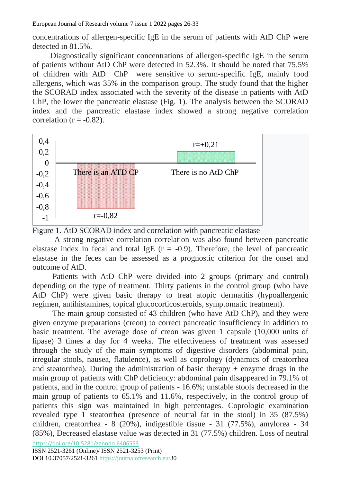European Journal of Research volume 7 issue 1 2022 pages 26-33

concentrations of allergen-specific IgE in the serum of patients with AtD ChP were detected in 81.5%.

 Diagnostically significant concentrations of allergen-specific IgE in the serum of patients without AtD ChP were detected in 52.3%. It should be noted that 75.5% of children with AtD ChP were sensitive to serum-specific IgE, mainly food allergens, which was 35% in the comparison group. The study found that the higher the SCORAD index associated with the severity of the disease in patients with AtD ChP, the lower the pancreatic elastase (Fig. 1). The analysis between the SCORAD index and the pancreatic elastase index showed a strong negative correlation correlation ( $r = -0.82$ ).



Figure 1. AtD SCORAD index and correlation with pancreatic elastase

 A strong negative correlation correlation was also found between pancreatic elastase index in fecal and total IgE  $(r = -0.9)$ . Therefore, the level of pancreatic elastase in the feces can be assessed as a prognostic criterion for the onset and outcome of AtD.

 Patients with AtD ChP were divided into 2 groups (primary and control) depending on the type of treatment. Thirty patients in the control group (who have AtD ChP) were given basic therapy to treat atopic dermatitis (hypoallergenic regimen, antihistamines, topical glucocorticosteroids, symptomatic treatment).

The main group consisted of 43 children (who have AtD ChP), and they were given enzyme preparations (creon) to correct pancreatic insufficiency in addition to basic treatment. The average dose of creon was given 1 capsule (10,000 units of lipase) 3 times a day for 4 weeks. The effectiveness of treatment was assessed through the study of the main symptoms of digestive disorders (abdominal pain, irregular stools, nausea, flatulence), as well as coprology (dynamics of creatorrhea and steatorrhea). During the administration of basic therapy + enzyme drugs in the main group of patients with ChP deficiency: abdominal pain disappeared in 79.1% of patients, and in the control group of patients - 16.6%; unstable stools decreased in the main group of patients to 65.1% and 11.6%, respectively, in the control group of patients this sign was maintained in high percentages. Coprologic examination revealed type 1 steatorrhea (presence of neutral fat in the stool) in 35 (87.5%) children, creatorrhea - 8 (20%), indigestible tissue - 31 (77.5%), amylorea - 34 (85%), Decreased elastase value was detected in 31 (77.5%) children. Loss of neutral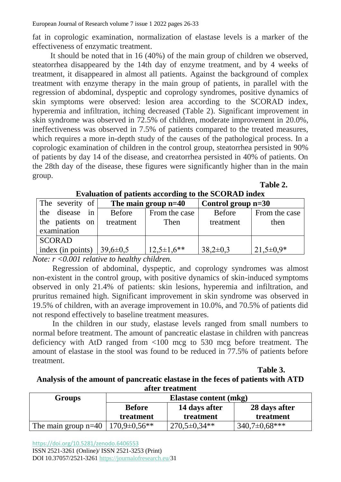fat in coprologic examination, normalization of elastase levels is a marker of the effectiveness of enzymatic treatment.

 It should be noted that in 16 (40%) of the main group of children we observed, steatorrhea disappeared by the 14th day of enzyme treatment, and by 4 weeks of treatment, it disappeared in almost all patients. Against the background of complex treatment with enzyme therapy in the main group of patients, in parallel with the regression of abdominal, dyspeptic and coprology syndromes, positive dynamics of skin symptoms were observed: lesion area according to the SCORAD index, hyperemia and infiltration, itching decreased (Table 2). Significant improvement in skin syndrome was observed in 72.5% of children, moderate improvement in 20.0%, ineffectiveness was observed in 7.5% of patients compared to the treated measures, which requires a more in-depth study of the causes of the pathological process. In a coprologic examination of children in the control group, steatorrhea persisted in 90% of patients by day 14 of the disease, and creatorrhea persisted in 40% of patients. On the 28th day of the disease, these figures were significantly higher than in the main group.

| Table 2. |
|----------|
|          |

| The severity of   | The main group $n=40$ |                | Control group $n=30$ |               |
|-------------------|-----------------------|----------------|----------------------|---------------|
| disease in<br>the | <b>Before</b>         | From the case  | <b>Before</b>        | From the case |
| the patients on   | treatment             | Then           | treatment            | then          |
| examination       |                       |                |                      |               |
| <b>SCORAD</b>     |                       |                |                      |               |
| index (in points) | $39,6 \pm 0.5$        | $12,5\pm1,6**$ | $38,2\pm0,3$         | $21,5\pm0.9*$ |

**Evaluation of patients according to the SCORAD index**

*Note: r <0.001 relative to healthy children.*

Regression of abdominal, dyspeptic, and coprology syndromes was almost non-existent in the control group, with positive dynamics of skin-induced symptoms observed in only 21.4% of patients: skin lesions, hyperemia and infiltration, and pruritus remained high. Significant improvement in skin syndrome was observed in 19.5% of children, with an average improvement in 10.0%, and 70.5% of patients did not respond effectively to baseline treatment measures.

 In the children in our study, elastase levels ranged from small numbers to normal before treatment. The amount of pancreatic elastase in children with pancreas deficiency with AtD ranged from <100 mcg to 530 mcg before treatment. The amount of elastase in the stool was found to be reduced in 77.5% of patients before treatment.

*Table 3.* **Table 3.** 

### **Analysis of the amount of pancreatic elastase in the feces of patients with ATD after treatment**

| Groups                | Elastase content (mkg) |                    |                   |  |
|-----------------------|------------------------|--------------------|-------------------|--|
|                       | <b>Before</b>          | 14 days after      | 28 days after     |  |
|                       | treatment              | treatment          | treatment         |  |
| The main group $n=40$ | $170,9\pm0.56**$       | $270,5 \pm 0.34**$ | $340,7\pm0.68***$ |  |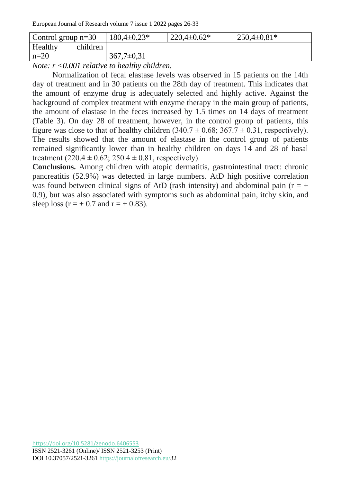European Journal of Research volume 7 issue 1 2022 pages 26-33

| Control group $n=30$ | $180,4\pm0.23*$ | $220,4\pm 0,62*$ | $250,4\pm0,81*$ |
|----------------------|-----------------|------------------|-----------------|
| Healthy<br>children  |                 |                  |                 |
| $n=20$               | $367,7\pm0.31$  |                  |                 |
|                      |                 |                  |                 |

*Note: r <0.001 relative to healthy children.*

 Normalization of fecal elastase levels was observed in 15 patients on the 14th day of treatment and in 30 patients on the 28th day of treatment. This indicates that the amount of enzyme drug is adequately selected and highly active. Against the background of complex treatment with enzyme therapy in the main group of patients, the amount of elastase in the feces increased by 1.5 times on 14 days of treatment (Table 3). On day 28 of treatment, however, in the control group of patients, this figure was close to that of healthy children  $(340.7 \pm 0.68; 367.7 \pm 0.31$ , respectively). The results showed that the amount of elastase in the control group of patients remained significantly lower than in healthy children on days 14 and 28 of basal treatment  $(220.4 \pm 0.62; 250.4 \pm 0.81,$  respectively).

**Conclusions.** Among children with atopic dermatitis, gastrointestinal tract: chronic pancreatitis (52.9%) was detected in large numbers. AtD high positive correlation was found between clinical signs of AtD (rash intensity) and abdominal pain ( $r = +$ 0.9), but was also associated with symptoms such as abdominal pain, itchy skin, and sleep loss  $(r = + 0.7$  and  $r = + 0.83$ ).